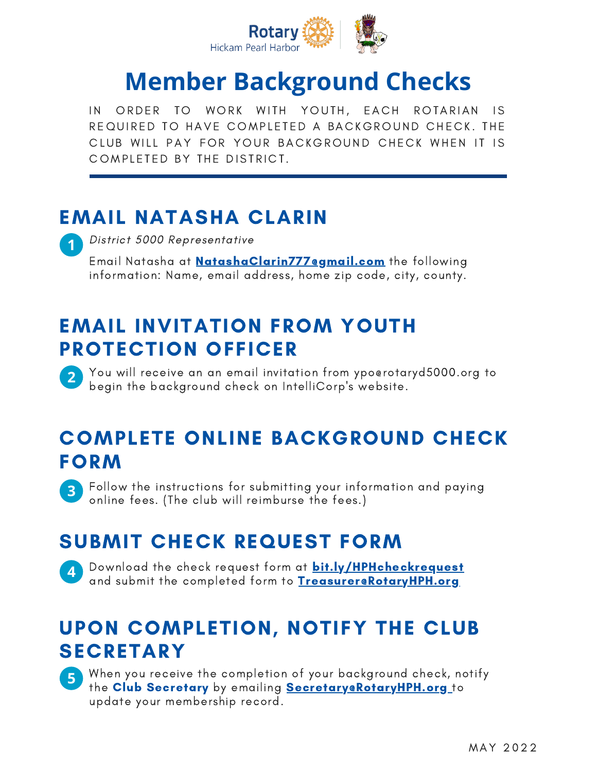

# **Member Background Checks**

<span id="page-0-0"></span>IN ORDER TO WORK WITH YOUTH, EACH ROTARIAN IS R E QUIRED TO HAVE COMPLETED A BACKGROUND CHECK. THE CLUB WILL PAY FOR YOUR BACKGROUND CHECK WHEN IT IS COMPLETED BY THE DISTRICT.

## EMAIL NATASHA CLARIN

**2**

District <sup>5000</sup> Representative **1**

Email Natasha at [NatashaClarin777@gmail.com](#page-0-0) the following information: Name, email address, home zip code, city, county.

### EMAIL INVITATION FROM YOUTH PROTECTION OFFICER

You will receive an an email invitation from ypo@rotaryd5000.org to begin the background check on IntelliCorp's website.

### COMPLETE ONLINE BACKGROUND CHECK **FORM**

Follow the instructions for submitting your information and paying online fees. (The club will reimburse the fees.) **3**

# SUBMIT CHECK REQUEST FORM

Download the check request form at **[bit.ly/HPHcheckrequest](http://bit/ly/HPHcheckrequest)** and submit the completed form to [Treasurer@RotaryHPH.org](#page-0-0)

### UPON COMPLETION, NOTIFY THE CLUB SECRETARY



**4**

When you receive the completion of your background check, notify the Club Secretary by emailing [Secretary@RotaryHPH.org](http://mailto/)\_to update your membership record.